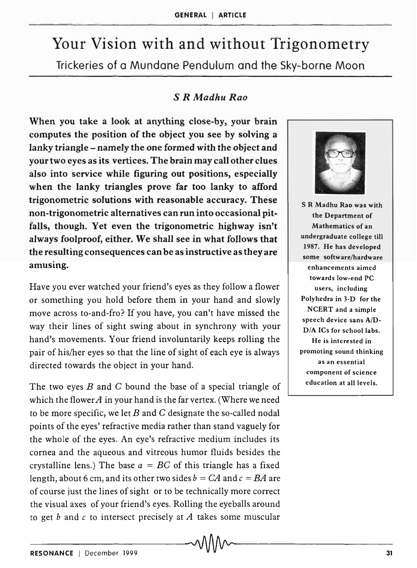# Your Vision with and without Trigonometry

Trickeries of a Mundane Pendulum and the Sky-borne Moon

### S *R Madhu Rao*

When you take a look at anything close-by, your brain computes the position of the object you see by solving a lanky triangle - namely the one formed with the object and your two eyes as its vertices. The brain may call other clues also into service while figuring out positions, especially when the lanky triangles prove far too lanky to afford trigonometric solutions with reasonable accuracy. These non-trigonometric alternatives can run into occasional pitfalls, though. Yet even the trigonometric highway isn't always foolproof, either. We shall see in what follows that the resulting consequences can be as instructive as they are amusing.

Have you ever watched your friend's eyes as they follow a flower or something you hold before them in your hand and slowly move across to-and-fro? If you have, you can't have missed the way their lines of sight swing about in synchrony with your hand's movements. Your friend involuntarily keeps rolling the pair of his/her eyes so that the line of sight of each eye is always directed towards the object in your hand.

The two eyes  $B$  and  $C$  bound the base of a special triangle of which the flower *A* in your hand is the far vertex. (Where we need to be more specific, we let  $B$  and  $C$  designate the so-called nodal points of the eyes' refractive media rather than stand vaguely for the whole of the eyes. An eye's refractive medium includes its cornea and the aqueous and vitreous humor fluids besides the crystalline lens.) The base  $a = BC$  of this triangle has a fixed length, about 6 cm, and its other two sides  $b = CA$  and  $c = BA$  are of course just the lines of sight or to be technically more correct the visual axes of your friend's eyes. Rolling the eyeballs around to get b and c to intersect precisely at A takes some muscular



S R Madhu Rao was with the Department of Mathematics of an undergraduate college till 1987. He has developed some software/hardware enhancements aimed towards low-end PC users, including Polyhedra in 3-D for the NCERT and a simple speech device sans A/D-D/A ICs for school labs. He is interested in promoting sound thinking as an essential component of science education at all levels.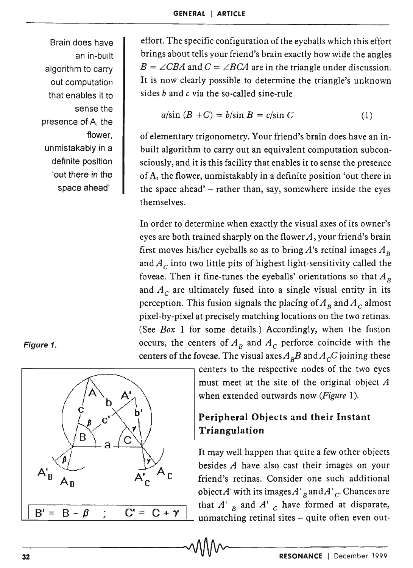Brain does have an in-built algorithm to carry out computation that enables it to sense the presence of A, the flower, unmistakably in a definite position 'out there in the space ahead'

Figure 1.



effort. The specific configuration of the eyeballs which this effort brings about tells your friend's brain exactly how wide the angles  $B = \angle CBA$  and  $C = \angle BCA$  are in the triangle under discussion. It is now clearly possible to determine the triangle's unknown sides *b* and *c* via the so-called sine-rule

$$
a/\sin\left(B + C\right) = b/\sin B = c/\sin C\tag{1}
$$

of elementary trigonometry. Your friend's brain does have an inbuilt algorithm to carry out an equivalent computation subconsciously, and it is this facility that enables it to sense the presence of A, the flower, unmistakably in a definite position 'out there in the space ahead' - rather than, say, somewhere inside the eyes themselves.

In order to determine when exactly the visual axes of its owner's eyes are both trained sharply on the flower  $A$ , your friend's brain first moves his/her eyeballs so as to bring  $A$ 's retinal images  $A<sub>B</sub>$ and *Ac* into two little pits of highest light-sensitivity called the foveae. Then it fine-tunes the eyeballs' orientations so that  $A_B$ and  $A_c$  are ultimately fused into a single visual entity in its perception. This fusion signals the placing of  $A_B$  and  $A_C$  almost pixel-by-pixel at precisely matching locations on the two retinas. (See *Box* 1 for some details.) Accordingly, when the fusion occurs, the centers of  $A_B$  and  $A_C$  perforce coincide with the

centers of the foveae. The visual axes  $A_B B$  and  $A_C C$  joining these<br>centers to the respective nodes of the two eyes must meet at the site of the original object  $A$ when extended outwards now *(Figure* 1).

## Peripheral Objects and their Instant **Triangulation**

It may well happen that quite a few other objects besides *A* have also cast their images on your friend's retinas. Consider one such additional object  $A'$  with its images  $A'_{B}$  and  $A'_{C}$ . Chances are  $B' = B - B$  :  $C' = C + \gamma$  that *A'* <sup>B</sup> and *A'* <sup>C</sup> have formed at disparate, unmatching retinal sites  $-$  quite often even out-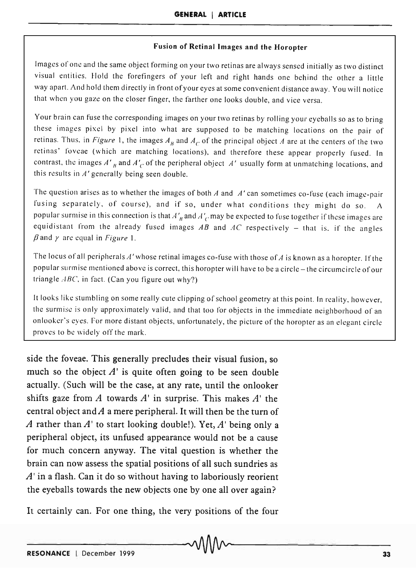#### Fusion of Retinal Images and the Horopter

Images of one and the same object forming on your two retinas are always sensed initially as two distinct visual entities. Hold the forefingers of your left and right hands one behind the other a little way apart. And hold them directly in front of your eyes at some convenient distance away. You will notice that when you gaze on the closer finger. the farther one looks double, and vice versa.

Your brain can fuse the corresponding images on your two retinas by rolling your eyeballs so as to bring these images pixel by pixel into what are supposed to be matching locations on the pair of retinas. Thus, in *Figure* 1, the images  $A<sub>R</sub>$  and  $A<sub>C</sub>$  of the principal object *A* are at the centers of the two retinas' foveae (which are matching locations), and therefore these appear properly fused. In contrast, the images  $A'_{B}$  and  $A'_{C}$  of the peripheral object  $A'$  usually form at unmatching locations, and this results in *A'* generally being seen double.

The question arises as to whether the images of both *A* and *A'* can sometimes co-fuse (each image-pair fusing separately. of course), and if so, under what conditions they might do so. A popular surmise in this connection is that *A'n* and *A'e* may be expected to fuse together if these images are equidistant from the already fused images  $AB$  and  $AC$  respectively - that is. if the angles  $\beta$  and  $\gamma$  are equal in *Figure* 1.

The locus of all peripherals *A'* whose retinal images co-fuse with those of *A* is known as a horopter. If the popular surmise mentioned above is correct, this horopter will have to be a circle - the circumcircle of our triangle  $ABC$ , in fact. (Can you figure out why?)

It looks like stumbling on some really cute clipping of school geometry at this point. In reality. however, the surmise is only approximately valid, and that too for objects in the immediate neighborhood of an onlooker's eyes. For more distant objects, unfortunately, the picture of the horopter as an elegant circle proves to be widely off the mark.

side the foveae. This generally precludes their visual fusion, so much so the object  $A<sup>T</sup>$  is quite often going to be seen double actually. (Such will be the case, at any rate, until the onlooker shifts gaze from  $A$  towards  $A'$  in surprise. This makes  $A'$  the central object and *A* a mere peripheral. It will then be the turn of *A* rather than  $A'$  to start looking double!). Yet,  $A'$  being only a peripheral object, its unfused appearance would not be a cause for much concern anyway. The vital question is whether the brain can now assess the spatial positions of all such sundries as  $A<sup>1</sup>$  in a flash. Can it do so without having to laboriously reorient the eyeballs towards the new objects one by one all over again?

It certainly can. For one thing, the very positions of the four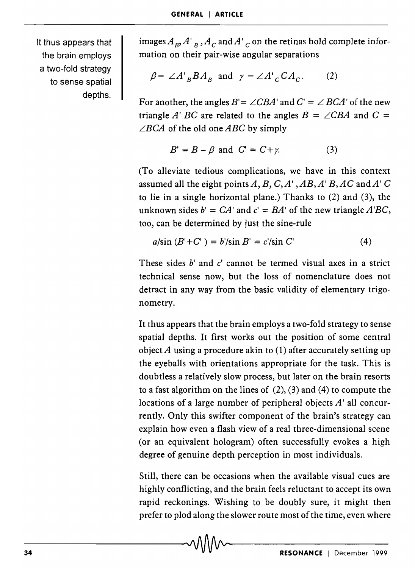It thus appears that the brain employs a two-fold strategy to sense spatial depths.

images  $A_B$ ,  $A'_B$ ,  $A_C$  and  $A'_C$  on the retinas hold complete information on their pair-wise angular separations

$$
\beta = \angle A \big|_{B} BA_{B} \text{ and } \gamma = \angle A \big|_{C} CA_{C}. \tag{2}
$$

For another, the angles  $B' = \angle CBA'$  and  $C' = \angle BCA'$  of the new triangle *A' BC* are related to the angles  $B = \angle CBA$  and  $C =$ *LBCA* of the old one *ABC* by simply

$$
B' = B - \beta \text{ and } C' = C + \gamma. \tag{3}
$$

(To alleviate tedious complications, we have in this context assumed all the eight points  $A, B, C, A', AB, A'B, AC$  and  $A'C$ to lie in a single horizontal plane.) Thanks to (2) and (3), the unknown sides  $b' = CA'$  and  $c' = BA'$  of the new triangle  $A'BC$ , too, can be determined by just the sine-rule

$$
a/\sin(B' + C') = b/\sin B' = c/\sin C'
$$
 (4)

These sides *b'* and c' cannot be termed visual axes in a strict technical sense now, but the loss of nomenclature does not detract in any way from the basic validity of elementary trigonometry.

It thus appears that the brain employs a two-fold strategy to sense spatial depths. It first works out the position of some central object A using a procedure akin to  $(1)$  after accurately setting up the eyeballs with orientations appropriate for the task. This is doubtless a relatively slow process, but later on the brain resorts to a fast algorithm on the lines of  $(2)$ ,  $(3)$  and  $(4)$  to compute the locations of a large number of peripheral objects A' all concurrently. Only this swifter component of the brain's strategy can explain how even a flash view of a real three-dimensional scene (or an equivalent hologram) often successfully evokes a high degree of genuine depth perception in most individuals.

Still, there can be occasions when the available visual cues are highly conflicting, and the brain feels reluctant to accept its own rapid reckonings. Wishing to be doubly sure, it might then prefer to plod along the slower route most of the time, even where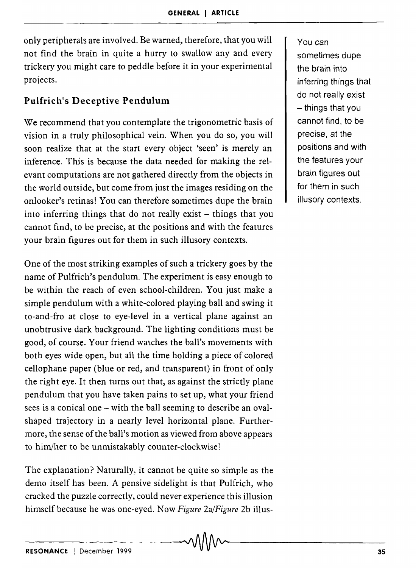only peripherals are involved. Be warned, therefore, that you will not find the brain in quite a hurry to swallow any and every trickery you might care to peddle before it in your experimental projects.

## Pulfrich's Deceptive **Pendulum**

We recommend that you contemplate the trigonometric basis of vision in a truly philosophical vein. When you do so, you will soon realize that at the start every object 'seen' is merely an inference. This is because the data needed for making the relevant computations are not gathered directly from the objects in the world outside, but come from just the images residing on the onlooker's retinas! You can therefore sometimes dupe the brain into inferring things that do not really exist  $-$  things that you cannot find, to be precise, at the positions and with the features your brain figures out for them in such illusory contexts.

One of the most striking examples of such a trickery goes by the name of Pulfrich's pendulum. The experiment is easy enough to be within the reach of even school-children. You just make a simple pendulum with a white-colored playing ball and swing it to-and-fro at close to eye-level in a vertical plane against an unobtrusive dark background. The lighting conditions must be good, of course. Your friend watches the ball's movements with both eyes wide open, but all the time holding a piece of colored cellophane paper (blue or red, and transparent) in front of only the right eye. It then turns out that, as against the strictly plane pendulum that you have taken pains to set up, what your friend sees is a conical one – with the ball seeming to describe an ovalshaped trajectory in a nearly level horizontal plane. Furthermore, the sense of the ball's motion as viewed from above appears to him/her to be unmistakably counter-clockwise!

The explanation? Naturally, it cannot be quite so simple as the demo itself has been. A pensive sidelight is that Pulfrich, who cracked the puzzle correctly, could never experience this illusion himself because he was one-eyed. Now *Figure 2a/Figure* 2b illusYou can sometimes dupe the brain into inferring things that do not really exist - things that you cannot find, to be precise, at the positions and with the features your brain figures out for them in such illusory contexts.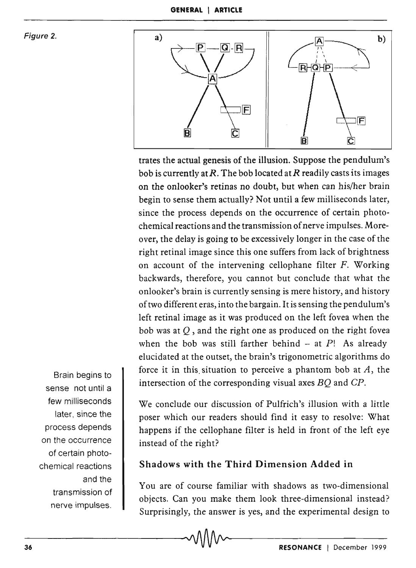Figure 2.



trates the actual genesis of the illusion. Suppose the pendulum's bob is currently *atR.* The bob located *atR* readily casts its images on the onlooker's retinas no doubt, but when can his/her brain begin to sense them actually? Not until a few milliseconds later, since the process depends on the occurrence of certain photochemical reactions and the transmission of nerve impulses. Moreover, the delay is going to be excessively longer in the case of the right retinal image since this one suffers from lack of brightness on account of the intervening cellophane filter  $F$ . Working backwards, therefore, you cannot but conclude that what the onlooker's brain is currently sensing is mere history, and history of two different eras, into the bargain. It is sensing the pendulum's left retinal image as it was produced on the left fovea when the bob was at  $Q$ , and the right one as produced on the right fovea when the bob was still farther behind  $-$  at  $P!$  As already elucidated at the outset, the brain's trigonometric algorithms do force it in this situation to perceive a phantom bob at  $A$ , the intersection of the corresponding visual axes  $BQ$  and  $CP$ .

Brain begins to sense not until a few milliseconds later, since the process depends on the occurrence of certain photochemical reactions and the transmission of nerve impulses.

We conclude our discussion of Pulfrich's illusion with a little poser which our readers should find it easy to resolve: What happens if the cellophane filter is held in front of the left eye instead of the right?

#### Shadows with the Third Dimension Added in

You are of course familiar with shadows as two-dimensional objects. Can you make them look three-dimensional instead? Surprisingly, the answer is yes, and the experimental design to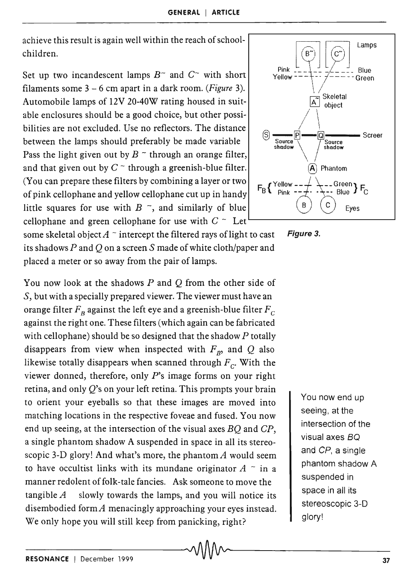achieve this result is again well within the reach of school-<br>children.  $\boxed{(\widehat{B}^{\sim}) \mid (\widehat{C}^{\sim})}$  Lamps

Set up two incandescent lamps  $B^{\sim}$  and  $C^{\sim}$  with short filaments some 3 - 6 cm apart in a dark room. *(Figure 3).*  Automobile lamps of 12V 20-40W rating housed in suitable enclosures should be a good choice, but other possibilities are not excluded. Use no reflectors. The distance between the lamps should preferably be made variable Pass the light given out by  $B \sim$  through an orange filter, and that given out by  $C \sim$  through a greenish-blue filter. (You can prepare these filters by combining a layer or two of pink cellophane and yellow cellophane cut up in handy little squares for use with  $B \tilde{\ }$ , and similarly of blue cellophane and green cellophane for use with  $C \sim$  Let some skeletal object  $A \sim$  intercept the filtered rays of light to cast Figure 3. its shadows *P* and Q on a screen *S* made of white cloth/paper and

placed a meter or so away from the pair of lamps.

You now look at the shadows P and Q from the other side of  $S$ , but with a specially prepared viewer. The viewer must have an orange filter  $F_B$  against the left eye and a greenish-blue filter  $F_C$ against the right one. These filters (which again can be fabricated with cellophane) should be so designed that the shadow *P* totally disappears from view when inspected with  $F_B$ , and Q also likewise totally disappears when scanned through  $F_c$ . With the viewer donned, therefore, only P's image forms on your right retina, and only  $Q$ 's on your left retina. This prompts your brain to orient your eyeballs so that these images are moved into matching locations in the respective foveae and fused. You now end up seeing, at the intersection of the visual axes *BQ* and *CP,*  a single phantom shadow A suspended in space in all its stereoscopic 3-D glory! And what's more, the phantom  $A$  would seem to have occultist links with its mundane originator  $A \sim \text{in}$  a manner redolent of folk-tale fancies. Ask someone to move the tangible  $A$  slowly towards the lamps, and you will notice its disembodied formA menacingly approaching your eyes instead. We only hope you will still keep from panicking, right?





You now end up seeing, at the intersection of the visual axes BQ and *CP,* a single phantom shadow A suspended in space in all its stereoscopic 3-D glory!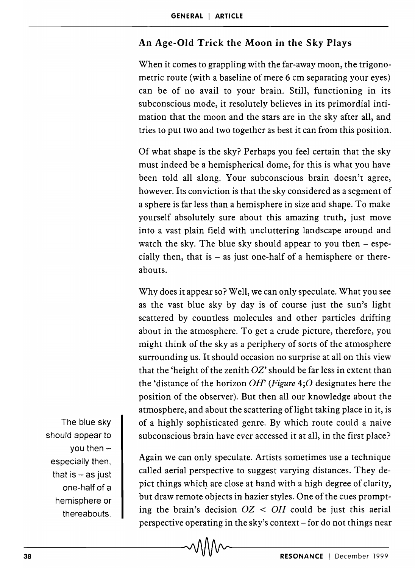### **An Age-Old Trick the Moon in the Sky Plays**

When it comes to grappling with the far-away moon, the trigonometric route (with a baseline of mere 6 cm separating your eyes) can be of no avail to your brain. Still, functioning in its subconscious mode, it resolutely believes in its primordial intimation that the moon and the stars are in the sky after all, and tries to put two and two together as best it can from this position.

Of what shape is the sky? Perhaps you feel certain that the sky must indeed be a hemispherical dome, for this is what you have been told all along. Your subconscious brain doesn't agree, however. Its conviction is that the sky considered as a segment of a sphere is far less than a hemisphere in size and shape. To make yourself absolutely sure about this amazing truth, just move into a vast plain field with uncluttering landscape around and watch the sky. The blue sky should appear to you then  $-$  especially then, that is  $-$  as just one-half of a hemisphere or thereabouts.

Why does it appear so? Well, we can only speculate. What you see as the vast blue sky by day is of course just the sun's light scattered by countless molecules and other particles drifting about in the atmosphere. To get a crude picture, therefore, you might think of the sky as a periphery of sorts of the atmosphere surrounding us. It should occasion no surprise at all on this view that the 'height of the zenith *OZ'* should be far less in extent than the 'distance of the horizon *OH' (Figure* 4;0 designates here the position of the observer). But then all our knowledge about the atmosphere, and about the scattering of light taking place in it, is of a highly sophisticated genre. By which route could a naive subconscious brain have ever accessed it at all, in the first place?

Again we can only speculate. Artists sometimes use a technique called aerial perspective to suggest varying distances. They depict things which are close at hand with a high degree of clarity, but draw remote objects in hazier styles. One of the cues prompting the brain's decision  $OZ < OH$  could be just this aerial perspective operating in the sky's context – for do not things near

The blue sky should appear to you then $$ especially then, that is  $-$  as just one-half of a hemisphere or thereabouts.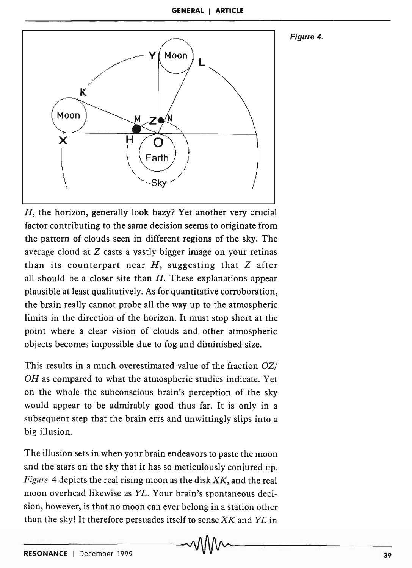Figure 4.



H, the horizon, generally look hazy? Yet another very crucial factor contributing to the same decision seems to originate from the pattern of clouds seen in different regions of the sky. The average cloud at  $Z$  casts a vastly bigger image on your retinas than its counterpart near  $H$ , suggesting that  $Z$  after all should be a closer site than  $H$ . These explanations appear plausible at least qualitatively. As for quantitative corroboration, the brain really cannot probe all the way up to the atmospheric limits in the direction of the horizon. It must stop short at the point where a clear vision of clouds and other atmospheric objects becomes impossible due to fog and diminished size.

This results in a much overestimated value of the fraction *OZ/ OB* as compared to what the atmospheric studies indicate. Yet on the whole the subconscious brain's perception of the sky would appear to be admirably good thus far. It is only in a subsequent step that the brain errs and unwittingly slips into a big illusion.

The illusion sets in when your brain endeavors to paste the moon and the stars on the sky that it has so meticulously conjured up. *Figure* 4 depicts the real rising moon as the disk *XK,* and the real moon overhead likewise as *YL.* Your brain's spontaneous decision, however, is that no moon can ever belong in a station other than the sky! It therefore persuades itself to sense *XK* and *YL* in